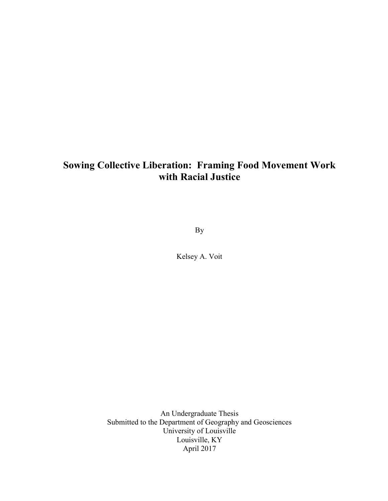# Sowing Collective Liberation: Framing Food Movement Work with Racial Justice

By

Kelsey A. Voit

An Undergraduate Thesis Submitted to the Department of Geography and Geosciences University of Louisville Louisville, KY April 2017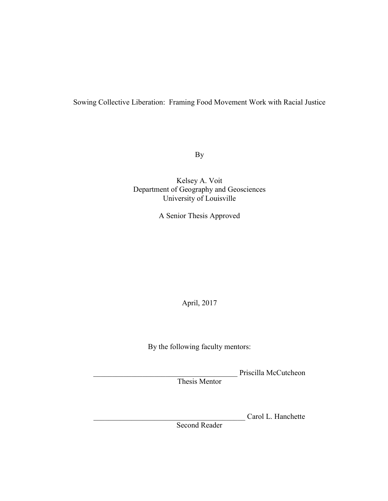## Sowing Collective Liberation: Framing Food Movement Work with Racial Justice

By

Kelsey A. Voit Department of Geography and Geosciences University of Louisville

A Senior Thesis Approved

April, 2017

By the following faculty mentors:

\_\_\_\_\_\_\_\_\_\_\_\_\_\_\_\_\_\_\_\_\_\_\_\_\_\_\_\_\_\_\_\_\_\_\_\_\_\_ Priscilla McCutcheon

Thesis Mentor

Carol L. Hanchette

Second Reader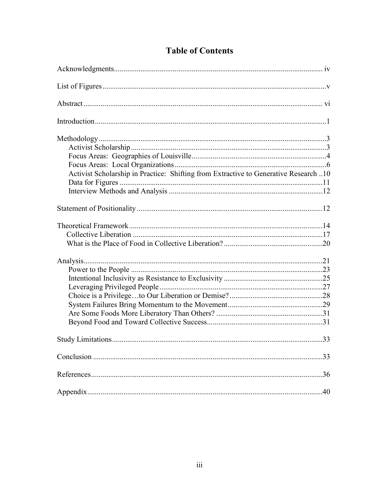| Activist Scholarship in Practice: Shifting from Extractive to Generative Research 10 |  |
|--------------------------------------------------------------------------------------|--|
|                                                                                      |  |
|                                                                                      |  |
|                                                                                      |  |
|                                                                                      |  |
|                                                                                      |  |
|                                                                                      |  |
|                                                                                      |  |
|                                                                                      |  |
|                                                                                      |  |
|                                                                                      |  |
|                                                                                      |  |
|                                                                                      |  |
|                                                                                      |  |
|                                                                                      |  |
|                                                                                      |  |
|                                                                                      |  |
|                                                                                      |  |
|                                                                                      |  |

## **Table of Contents**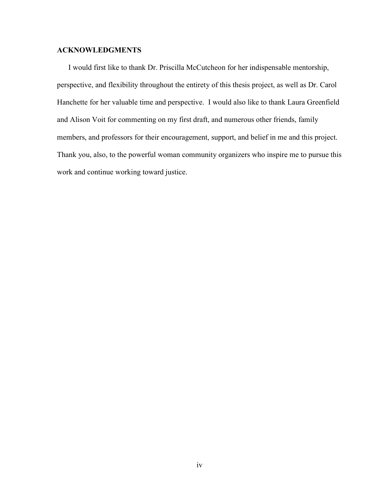#### ACKNOWLEDGMENTS

 I would first like to thank Dr. Priscilla McCutcheon for her indispensable mentorship, perspective, and flexibility throughout the entirety of this thesis project, as well as Dr. Carol Hanchette for her valuable time and perspective. I would also like to thank Laura Greenfield and Alison Voit for commenting on my first draft, and numerous other friends, family members, and professors for their encouragement, support, and belief in me and this project. Thank you, also, to the powerful woman community organizers who inspire me to pursue this work and continue working toward justice.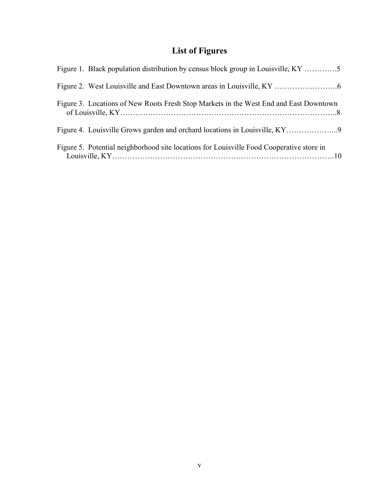# List of Figures

| Figure 1. Black population distribution by census block group in Louisville, KY 5        |
|------------------------------------------------------------------------------------------|
|                                                                                          |
| Figure 3. Locations of New Roots Fresh Stop Markets in the West End and East Downtown    |
|                                                                                          |
| Figure 5. Potential neighborhood site locations for Louisville Food Cooperative store in |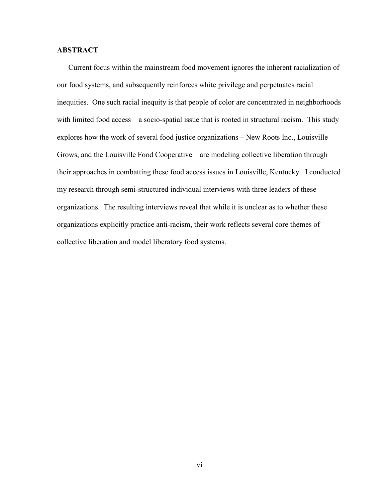### ABSTRACT

 Current focus within the mainstream food movement ignores the inherent racialization of our food systems, and subsequently reinforces white privilege and perpetuates racial inequities. One such racial inequity is that people of color are concentrated in neighborhoods with limited food access – a socio-spatial issue that is rooted in structural racism. This study explores how the work of several food justice organizations – New Roots Inc., Louisville Grows, and the Louisville Food Cooperative – are modeling collective liberation through their approaches in combatting these food access issues in Louisville, Kentucky. I conducted my research through semi-structured individual interviews with three leaders of these organizations. The resulting interviews reveal that while it is unclear as to whether these organizations explicitly practice anti-racism, their work reflects several core themes of collective liberation and model liberatory food systems.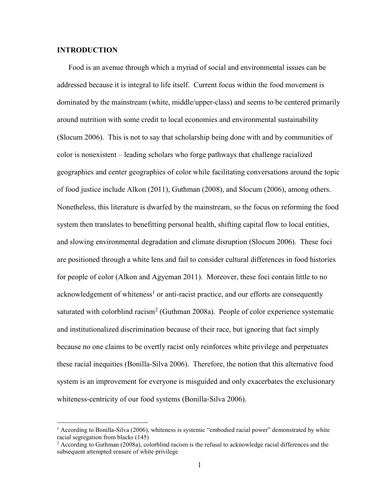#### INTRODUCTION

 $\overline{a}$ 

Food is an avenue through which a myriad of social and environmental issues can be addressed because it is integral to life itself. Current focus within the food movement is dominated by the mainstream (white, middle/upper-class) and seems to be centered primarily around nutrition with some credit to local economies and environmental sustainability (Slocum 2006). This is not to say that scholarship being done with and by communities of color is nonexistent – leading scholars who forge pathways that challenge racialized geographies and center geographies of color while facilitating conversations around the topic of food justice include Alkon (2011), Guthman (2008), and Slocum (2006), among others. Nonetheless, this literature is dwarfed by the mainstream, so the focus on reforming the food system then translates to benefitting personal health, shifting capital flow to local entities, and slowing environmental degradation and climate disruption (Slocum 2006). These foci are positioned through a white lens and fail to consider cultural differences in food histories for people of color (Alkon and Agyeman 2011). Moreover, these foci contain little to no acknowledgement of whiteness<sup>1</sup> or anti-racist practice, and our efforts are consequently saturated with colorblind racism<sup>2</sup> (Guthman 2008a). People of color experience systematic and institutionalized discrimination because of their race, but ignoring that fact simply because no one claims to be overtly racist only reinforces white privilege and perpetuates these racial inequities (Bonilla-Silva 2006). Therefore, the notion that this alternative food system is an improvement for everyone is misguided and only exacerbates the exclusionary whiteness-centricity of our food systems (Bonilla-Silva 2006).

<sup>&</sup>lt;sup>1</sup> According to Bonilla-Silva (2006), whiteness is systemic "embodied racial power" demonstrated by white racial segregation from blacks (145)

 $2$  According to Guthman (2008a), colorblind racism is the refusal to acknowledge racial differences and the subsequent attempted erasure of white privilege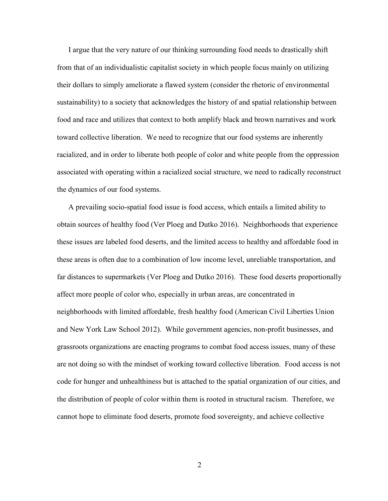I argue that the very nature of our thinking surrounding food needs to drastically shift from that of an individualistic capitalist society in which people focus mainly on utilizing their dollars to simply ameliorate a flawed system (consider the rhetoric of environmental sustainability) to a society that acknowledges the history of and spatial relationship between food and race and utilizes that context to both amplify black and brown narratives and work toward collective liberation. We need to recognize that our food systems are inherently racialized, and in order to liberate both people of color and white people from the oppression associated with operating within a racialized social structure, we need to radically reconstruct the dynamics of our food systems.

 A prevailing socio-spatial food issue is food access, which entails a limited ability to obtain sources of healthy food (Ver Ploeg and Dutko 2016). Neighborhoods that experience these issues are labeled food deserts, and the limited access to healthy and affordable food in these areas is often due to a combination of low income level, unreliable transportation, and far distances to supermarkets (Ver Ploeg and Dutko 2016). These food deserts proportionally affect more people of color who, especially in urban areas, are concentrated in neighborhoods with limited affordable, fresh healthy food (American Civil Liberties Union and New York Law School 2012). While government agencies, non-profit businesses, and grassroots organizations are enacting programs to combat food access issues, many of these are not doing so with the mindset of working toward collective liberation. Food access is not code for hunger and unhealthiness but is attached to the spatial organization of our cities, and the distribution of people of color within them is rooted in structural racism. Therefore, we cannot hope to eliminate food deserts, promote food sovereignty, and achieve collective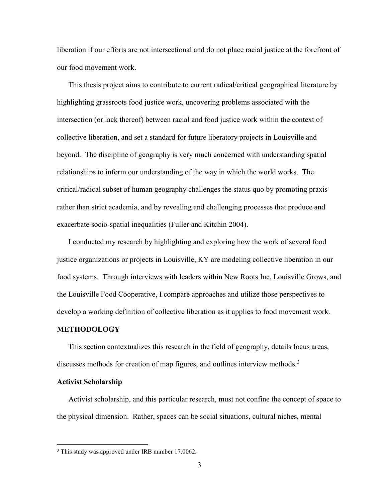liberation if our efforts are not intersectional and do not place racial justice at the forefront of our food movement work.

This thesis project aims to contribute to current radical/critical geographical literature by highlighting grassroots food justice work, uncovering problems associated with the intersection (or lack thereof) between racial and food justice work within the context of collective liberation, and set a standard for future liberatory projects in Louisville and beyond. The discipline of geography is very much concerned with understanding spatial relationships to inform our understanding of the way in which the world works. The critical/radical subset of human geography challenges the status quo by promoting praxis rather than strict academia, and by revealing and challenging processes that produce and exacerbate socio-spatial inequalities (Fuller and Kitchin 2004).

I conducted my research by highlighting and exploring how the work of several food justice organizations or projects in Louisville, KY are modeling collective liberation in our food systems. Through interviews with leaders within New Roots Inc, Louisville Grows, and the Louisville Food Cooperative, I compare approaches and utilize those perspectives to develop a working definition of collective liberation as it applies to food movement work.

#### METHODOLOGY

 This section contextualizes this research in the field of geography, details focus areas, discusses methods for creation of map figures, and outlines interview methods.<sup>3</sup>

#### Activist Scholarship

 $\overline{a}$ 

Activist scholarship, and this particular research, must not confine the concept of space to the physical dimension. Rather, spaces can be social situations, cultural niches, mental

<sup>&</sup>lt;sup>3</sup> This study was approved under IRB number 17.0062.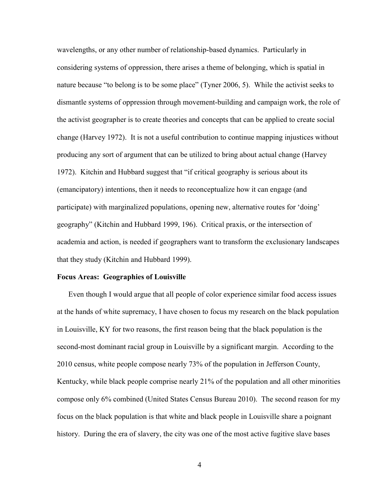wavelengths, or any other number of relationship-based dynamics. Particularly in considering systems of oppression, there arises a theme of belonging, which is spatial in nature because "to belong is to be some place" (Tyner 2006, 5). While the activist seeks to dismantle systems of oppression through movement-building and campaign work, the role of the activist geographer is to create theories and concepts that can be applied to create social change (Harvey 1972). It is not a useful contribution to continue mapping injustices without producing any sort of argument that can be utilized to bring about actual change (Harvey 1972). Kitchin and Hubbard suggest that "if critical geography is serious about its (emancipatory) intentions, then it needs to reconceptualize how it can engage (and participate) with marginalized populations, opening new, alternative routes for 'doing' geography" (Kitchin and Hubbard 1999, 196). Critical praxis, or the intersection of academia and action, is needed if geographers want to transform the exclusionary landscapes that they study (Kitchin and Hubbard 1999).

#### Focus Areas: Geographies of Louisville

 Even though I would argue that all people of color experience similar food access issues at the hands of white supremacy, I have chosen to focus my research on the black population in Louisville, KY for two reasons, the first reason being that the black population is the second-most dominant racial group in Louisville by a significant margin. According to the 2010 census, white people compose nearly 73% of the population in Jefferson County, Kentucky, while black people comprise nearly 21% of the population and all other minorities compose only 6% combined (United States Census Bureau 2010). The second reason for my focus on the black population is that white and black people in Louisville share a poignant history. During the era of slavery, the city was one of the most active fugitive slave bases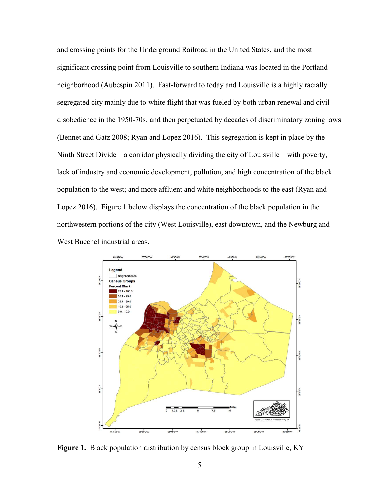and crossing points for the Underground Railroad in the United States, and the most significant crossing point from Louisville to southern Indiana was located in the Portland neighborhood (Aubespin 2011). Fast-forward to today and Louisville is a highly racially segregated city mainly due to white flight that was fueled by both urban renewal and civil disobedience in the 1950-70s, and then perpetuated by decades of discriminatory zoning laws (Bennet and Gatz 2008; Ryan and Lopez 2016). This segregation is kept in place by the Ninth Street Divide – a corridor physically dividing the city of Louisville – with poverty, lack of industry and economic development, pollution, and high concentration of the black population to the west; and more affluent and white neighborhoods to the east (Ryan and Lopez 2016). Figure 1 below displays the concentration of the black population in the northwestern portions of the city (West Louisville), east downtown, and the Newburg and West Buechel industrial areas.



Figure 1. Black population distribution by census block group in Louisville, KY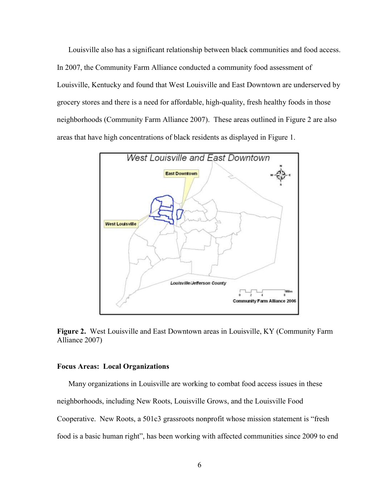Louisville also has a significant relationship between black communities and food access. In 2007, the Community Farm Alliance conducted a community food assessment of Louisville, Kentucky and found that West Louisville and East Downtown are underserved by grocery stores and there is a need for affordable, high-quality, fresh healthy foods in those neighborhoods (Community Farm Alliance 2007). These areas outlined in Figure 2 are also areas that have high concentrations of black residents as displayed in Figure 1.



Figure 2. West Louisville and East Downtown areas in Louisville, KY (Community Farm Alliance 2007)

#### Focus Areas: Local Organizations

Many organizations in Louisville are working to combat food access issues in these neighborhoods, including New Roots, Louisville Grows, and the Louisville Food Cooperative. New Roots, a 501c3 grassroots nonprofit whose mission statement is "fresh food is a basic human right", has been working with affected communities since 2009 to end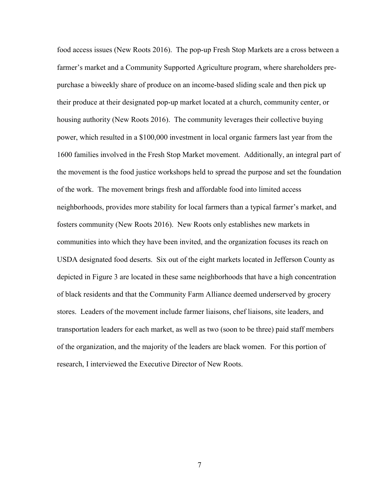food access issues (New Roots 2016). The pop-up Fresh Stop Markets are a cross between a farmer's market and a Community Supported Agriculture program, where shareholders prepurchase a biweekly share of produce on an income-based sliding scale and then pick up their produce at their designated pop-up market located at a church, community center, or housing authority (New Roots 2016). The community leverages their collective buying power, which resulted in a \$100,000 investment in local organic farmers last year from the 1600 families involved in the Fresh Stop Market movement. Additionally, an integral part of the movement is the food justice workshops held to spread the purpose and set the foundation of the work. The movement brings fresh and affordable food into limited access neighborhoods, provides more stability for local farmers than a typical farmer's market, and fosters community (New Roots 2016). New Roots only establishes new markets in communities into which they have been invited, and the organization focuses its reach on USDA designated food deserts. Six out of the eight markets located in Jefferson County as depicted in Figure 3 are located in these same neighborhoods that have a high concentration of black residents and that the Community Farm Alliance deemed underserved by grocery stores. Leaders of the movement include farmer liaisons, chef liaisons, site leaders, and transportation leaders for each market, as well as two (soon to be three) paid staff members of the organization, and the majority of the leaders are black women. For this portion of research, I interviewed the Executive Director of New Roots.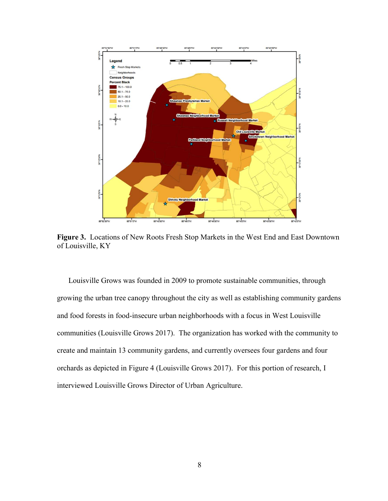

Figure 3. Locations of New Roots Fresh Stop Markets in the West End and East Downtown of Louisville, KY

Louisville Grows was founded in 2009 to promote sustainable communities, through growing the urban tree canopy throughout the city as well as establishing community gardens and food forests in food-insecure urban neighborhoods with a focus in West Louisville communities (Louisville Grows 2017). The organization has worked with the community to create and maintain 13 community gardens, and currently oversees four gardens and four orchards as depicted in Figure 4 (Louisville Grows 2017). For this portion of research, I interviewed Louisville Grows Director of Urban Agriculture.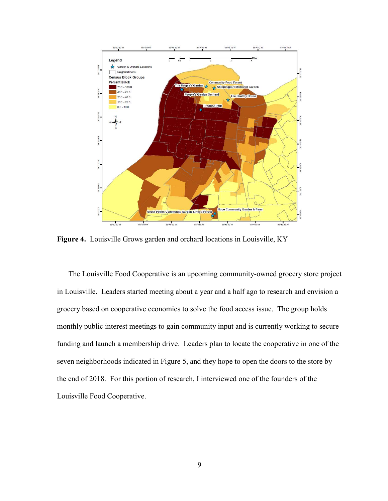

Figure 4. Louisville Grows garden and orchard locations in Louisville, KY

The Louisville Food Cooperative is an upcoming community-owned grocery store project in Louisville. Leaders started meeting about a year and a half ago to research and envision a grocery based on cooperative economics to solve the food access issue. The group holds monthly public interest meetings to gain community input and is currently working to secure funding and launch a membership drive. Leaders plan to locate the cooperative in one of the seven neighborhoods indicated in Figure 5, and they hope to open the doors to the store by the end of 2018. For this portion of research, I interviewed one of the founders of the Louisville Food Cooperative.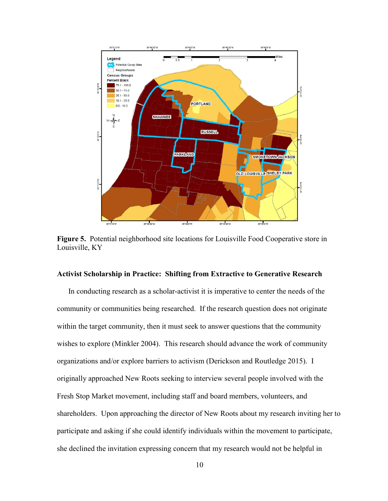

Figure 5. Potential neighborhood site locations for Louisville Food Cooperative store in Louisville, KY

#### Activist Scholarship in Practice: Shifting from Extractive to Generative Research

 In conducting research as a scholar-activist it is imperative to center the needs of the community or communities being researched. If the research question does not originate within the target community, then it must seek to answer questions that the community wishes to explore (Minkler 2004). This research should advance the work of community organizations and/or explore barriers to activism (Derickson and Routledge 2015). I originally approached New Roots seeking to interview several people involved with the Fresh Stop Market movement, including staff and board members, volunteers, and shareholders. Upon approaching the director of New Roots about my research inviting her to participate and asking if she could identify individuals within the movement to participate, she declined the invitation expressing concern that my research would not be helpful in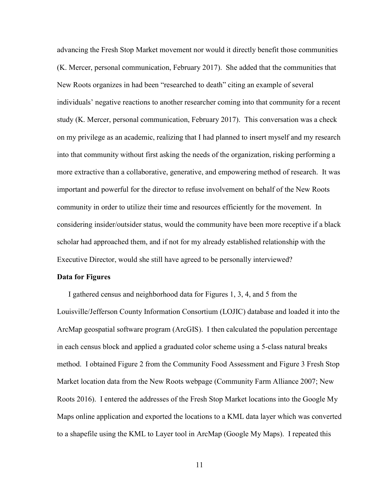advancing the Fresh Stop Market movement nor would it directly benefit those communities (K. Mercer, personal communication, February 2017). She added that the communities that New Roots organizes in had been "researched to death" citing an example of several individuals' negative reactions to another researcher coming into that community for a recent study (K. Mercer, personal communication, February 2017). This conversation was a check on my privilege as an academic, realizing that I had planned to insert myself and my research into that community without first asking the needs of the organization, risking performing a more extractive than a collaborative, generative, and empowering method of research. It was important and powerful for the director to refuse involvement on behalf of the New Roots community in order to utilize their time and resources efficiently for the movement. In considering insider/outsider status, would the community have been more receptive if a black scholar had approached them, and if not for my already established relationship with the Executive Director, would she still have agreed to be personally interviewed?

#### Data for Figures

 I gathered census and neighborhood data for Figures 1, 3, 4, and 5 from the Louisville/Jefferson County Information Consortium (LOJIC) database and loaded it into the ArcMap geospatial software program (ArcGIS). I then calculated the population percentage in each census block and applied a graduated color scheme using a 5-class natural breaks method. I obtained Figure 2 from the Community Food Assessment and Figure 3 Fresh Stop Market location data from the New Roots webpage (Community Farm Alliance 2007; New Roots 2016). I entered the addresses of the Fresh Stop Market locations into the Google My Maps online application and exported the locations to a KML data layer which was converted to a shapefile using the KML to Layer tool in ArcMap (Google My Maps). I repeated this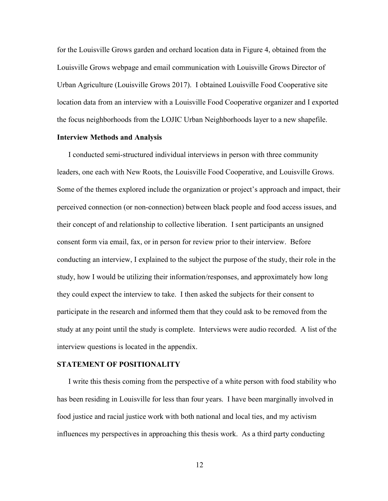for the Louisville Grows garden and orchard location data in Figure 4, obtained from the Louisville Grows webpage and email communication with Louisville Grows Director of Urban Agriculture (Louisville Grows 2017). I obtained Louisville Food Cooperative site location data from an interview with a Louisville Food Cooperative organizer and I exported the focus neighborhoods from the LOJIC Urban Neighborhoods layer to a new shapefile.

#### Interview Methods and Analysis

 I conducted semi-structured individual interviews in person with three community leaders, one each with New Roots, the Louisville Food Cooperative, and Louisville Grows. Some of the themes explored include the organization or project's approach and impact, their perceived connection (or non-connection) between black people and food access issues, and their concept of and relationship to collective liberation. I sent participants an unsigned consent form via email, fax, or in person for review prior to their interview. Before conducting an interview, I explained to the subject the purpose of the study, their role in the study, how I would be utilizing their information/responses, and approximately how long they could expect the interview to take. I then asked the subjects for their consent to participate in the research and informed them that they could ask to be removed from the study at any point until the study is complete. Interviews were audio recorded. A list of the interview questions is located in the appendix.

#### STATEMENT OF POSITIONALITY

 I write this thesis coming from the perspective of a white person with food stability who has been residing in Louisville for less than four years. I have been marginally involved in food justice and racial justice work with both national and local ties, and my activism influences my perspectives in approaching this thesis work. As a third party conducting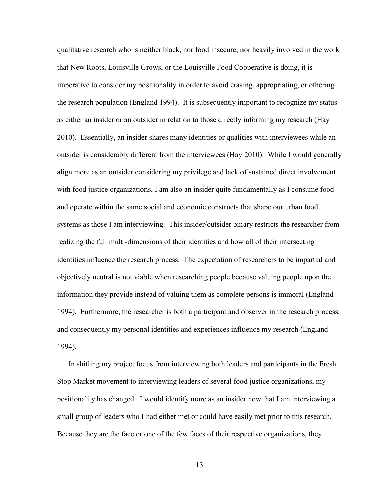qualitative research who is neither black, nor food insecure, nor heavily involved in the work that New Roots, Louisville Grows, or the Louisville Food Cooperative is doing, it is imperative to consider my positionality in order to avoid erasing, appropriating, or othering the research population (England 1994). It is subsequently important to recognize my status as either an insider or an outsider in relation to those directly informing my research (Hay 2010). Essentially, an insider shares many identities or qualities with interviewees while an outsider is considerably different from the interviewees (Hay 2010). While I would generally align more as an outsider considering my privilege and lack of sustained direct involvement with food justice organizations, I am also an insider quite fundamentally as I consume food and operate within the same social and economic constructs that shape our urban food systems as those I am interviewing. This insider/outsider binary restricts the researcher from realizing the full multi-dimensions of their identities and how all of their intersecting identities influence the research process. The expectation of researchers to be impartial and objectively neutral is not viable when researching people because valuing people upon the information they provide instead of valuing them as complete persons is immoral (England 1994). Furthermore, the researcher is both a participant and observer in the research process, and consequently my personal identities and experiences influence my research (England 1994).

In shifting my project focus from interviewing both leaders and participants in the Fresh Stop Market movement to interviewing leaders of several food justice organizations, my positionality has changed. I would identify more as an insider now that I am interviewing a small group of leaders who I had either met or could have easily met prior to this research. Because they are the face or one of the few faces of their respective organizations, they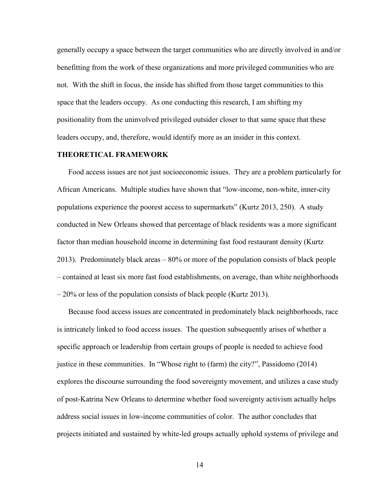generally occupy a space between the target communities who are directly involved in and/or benefitting from the work of these organizations and more privileged communities who are not. With the shift in focus, the inside has shifted from those target communities to this space that the leaders occupy. As one conducting this research, I am shifting my positionality from the uninvolved privileged outsider closer to that same space that these leaders occupy, and, therefore, would identify more as an insider in this context.

#### THEORETICAL FRAMEWORK

 Food access issues are not just socioeconomic issues. They are a problem particularly for African Americans. Multiple studies have shown that "low-income, non-white, inner-city populations experience the poorest access to supermarkets" (Kurtz 2013, 250). A study conducted in New Orleans showed that percentage of black residents was a more significant factor than median household income in determining fast food restaurant density (Kurtz 2013). Predominately black areas – 80% or more of the population consists of black people – contained at least six more fast food establishments, on average, than white neighborhoods – 20% or less of the population consists of black people (Kurtz 2013).

 Because food access issues are concentrated in predominately black neighborhoods, race is intricately linked to food access issues. The question subsequently arises of whether a specific approach or leadership from certain groups of people is needed to achieve food justice in these communities. In "Whose right to (farm) the city?", Passidomo (2014) explores the discourse surrounding the food sovereignty movement, and utilizes a case study of post-Katrina New Orleans to determine whether food sovereignty activism actually helps address social issues in low-income communities of color. The author concludes that projects initiated and sustained by white-led groups actually uphold systems of privilege and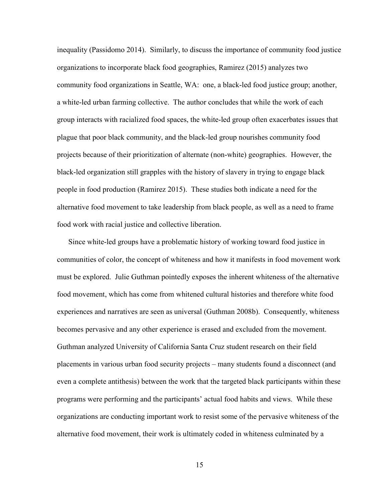inequality (Passidomo 2014). Similarly, to discuss the importance of community food justice organizations to incorporate black food geographies, Ramirez (2015) analyzes two community food organizations in Seattle, WA: one, a black-led food justice group; another, a white-led urban farming collective. The author concludes that while the work of each group interacts with racialized food spaces, the white-led group often exacerbates issues that plague that poor black community, and the black-led group nourishes community food projects because of their prioritization of alternate (non-white) geographies. However, the black-led organization still grapples with the history of slavery in trying to engage black people in food production (Ramirez 2015). These studies both indicate a need for the alternative food movement to take leadership from black people, as well as a need to frame food work with racial justice and collective liberation.

 Since white-led groups have a problematic history of working toward food justice in communities of color, the concept of whiteness and how it manifests in food movement work must be explored. Julie Guthman pointedly exposes the inherent whiteness of the alternative food movement, which has come from whitened cultural histories and therefore white food experiences and narratives are seen as universal (Guthman 2008b). Consequently, whiteness becomes pervasive and any other experience is erased and excluded from the movement. Guthman analyzed University of California Santa Cruz student research on their field placements in various urban food security projects – many students found a disconnect (and even a complete antithesis) between the work that the targeted black participants within these programs were performing and the participants' actual food habits and views. While these organizations are conducting important work to resist some of the pervasive whiteness of the alternative food movement, their work is ultimately coded in whiteness culminated by a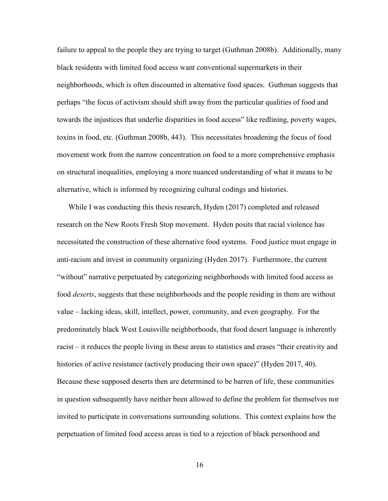failure to appeal to the people they are trying to target (Guthman 2008b). Additionally, many black residents with limited food access want conventional supermarkets in their neighborhoods, which is often discounted in alternative food spaces. Guthman suggests that perhaps "the focus of activism should shift away from the particular qualities of food and towards the injustices that underlie disparities in food access" like redlining, poverty wages, toxins in food, etc. (Guthman 2008b, 443). This necessitates broadening the focus of food movement work from the narrow concentration on food to a more comprehensive emphasis on structural inequalities, employing a more nuanced understanding of what it means to be alternative, which is informed by recognizing cultural codings and histories.

 While I was conducting this thesis research, Hyden (2017) completed and released research on the New Roots Fresh Stop movement. Hyden posits that racial violence has necessitated the construction of these alternative food systems. Food justice must engage in anti-racism and invest in community organizing (Hyden 2017). Furthermore, the current "without" narrative perpetuated by categorizing neighborhoods with limited food access as food deserts, suggests that these neighborhoods and the people residing in them are without value – lacking ideas, skill, intellect, power, community, and even geography. For the predominately black West Louisville neighborhoods, that food desert language is inherently racist – it reduces the people living in these areas to statistics and erases "their creativity and histories of active resistance (actively producing their own space)" (Hyden 2017, 40). Because these supposed deserts then are determined to be barren of life, these communities in question subsequently have neither been allowed to define the problem for themselves nor invited to participate in conversations surrounding solutions. This context explains how the perpetuation of limited food access areas is tied to a rejection of black personhood and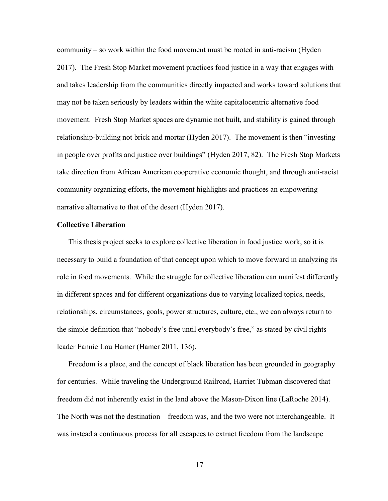community – so work within the food movement must be rooted in anti-racism (Hyden 2017). The Fresh Stop Market movement practices food justice in a way that engages with and takes leadership from the communities directly impacted and works toward solutions that may not be taken seriously by leaders within the white capitalocentric alternative food movement. Fresh Stop Market spaces are dynamic not built, and stability is gained through relationship-building not brick and mortar (Hyden 2017). The movement is then "investing in people over profits and justice over buildings" (Hyden 2017, 82). The Fresh Stop Markets take direction from African American cooperative economic thought, and through anti-racist community organizing efforts, the movement highlights and practices an empowering narrative alternative to that of the desert (Hyden 2017).

#### Collective Liberation

This thesis project seeks to explore collective liberation in food justice work, so it is necessary to build a foundation of that concept upon which to move forward in analyzing its role in food movements. While the struggle for collective liberation can manifest differently in different spaces and for different organizations due to varying localized topics, needs, relationships, circumstances, goals, power structures, culture, etc., we can always return to the simple definition that "nobody's free until everybody's free," as stated by civil rights leader Fannie Lou Hamer (Hamer 2011, 136).

Freedom is a place, and the concept of black liberation has been grounded in geography for centuries. While traveling the Underground Railroad, Harriet Tubman discovered that freedom did not inherently exist in the land above the Mason-Dixon line (LaRoche 2014). The North was not the destination – freedom was, and the two were not interchangeable. It was instead a continuous process for all escapees to extract freedom from the landscape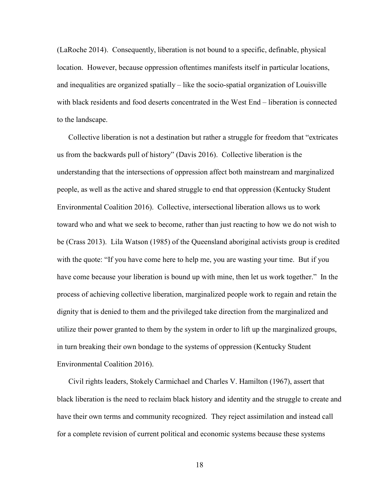(LaRoche 2014). Consequently, liberation is not bound to a specific, definable, physical location. However, because oppression oftentimes manifests itself in particular locations, and inequalities are organized spatially – like the socio-spatial organization of Louisville with black residents and food deserts concentrated in the West End – liberation is connected to the landscape.

 Collective liberation is not a destination but rather a struggle for freedom that "extricates us from the backwards pull of history" (Davis 2016). Collective liberation is the understanding that the intersections of oppression affect both mainstream and marginalized people, as well as the active and shared struggle to end that oppression (Kentucky Student Environmental Coalition 2016). Collective, intersectional liberation allows us to work toward who and what we seek to become, rather than just reacting to how we do not wish to be (Crass 2013). Lila Watson (1985) of the Queensland aboriginal activists group is credited with the quote: "If you have come here to help me, you are wasting your time. But if you have come because your liberation is bound up with mine, then let us work together." In the process of achieving collective liberation, marginalized people work to regain and retain the dignity that is denied to them and the privileged take direction from the marginalized and utilize their power granted to them by the system in order to lift up the marginalized groups, in turn breaking their own bondage to the systems of oppression (Kentucky Student Environmental Coalition 2016).

Civil rights leaders, Stokely Carmichael and Charles V. Hamilton (1967), assert that black liberation is the need to reclaim black history and identity and the struggle to create and have their own terms and community recognized. They reject assimilation and instead call for a complete revision of current political and economic systems because these systems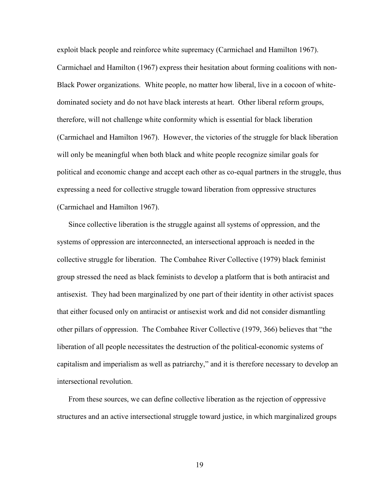exploit black people and reinforce white supremacy (Carmichael and Hamilton 1967). Carmichael and Hamilton (1967) express their hesitation about forming coalitions with non-Black Power organizations. White people, no matter how liberal, live in a cocoon of whitedominated society and do not have black interests at heart. Other liberal reform groups, therefore, will not challenge white conformity which is essential for black liberation (Carmichael and Hamilton 1967). However, the victories of the struggle for black liberation will only be meaningful when both black and white people recognize similar goals for political and economic change and accept each other as co-equal partners in the struggle, thus expressing a need for collective struggle toward liberation from oppressive structures (Carmichael and Hamilton 1967).

Since collective liberation is the struggle against all systems of oppression, and the systems of oppression are interconnected, an intersectional approach is needed in the collective struggle for liberation. The Combahee River Collective (1979) black feminist group stressed the need as black feminists to develop a platform that is both antiracist and antisexist. They had been marginalized by one part of their identity in other activist spaces that either focused only on antiracist or antisexist work and did not consider dismantling other pillars of oppression. The Combahee River Collective (1979, 366) believes that "the liberation of all people necessitates the destruction of the political-economic systems of capitalism and imperialism as well as patriarchy," and it is therefore necessary to develop an intersectional revolution.

From these sources, we can define collective liberation as the rejection of oppressive structures and an active intersectional struggle toward justice, in which marginalized groups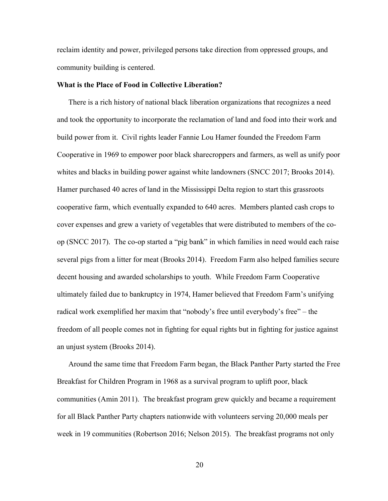reclaim identity and power, privileged persons take direction from oppressed groups, and community building is centered.

#### What is the Place of Food in Collective Liberation?

There is a rich history of national black liberation organizations that recognizes a need and took the opportunity to incorporate the reclamation of land and food into their work and build power from it. Civil rights leader Fannie Lou Hamer founded the Freedom Farm Cooperative in 1969 to empower poor black sharecroppers and farmers, as well as unify poor whites and blacks in building power against white landowners (SNCC 2017; Brooks 2014). Hamer purchased 40 acres of land in the Mississippi Delta region to start this grassroots cooperative farm, which eventually expanded to 640 acres. Members planted cash crops to cover expenses and grew a variety of vegetables that were distributed to members of the coop (SNCC 2017). The co-op started a "pig bank" in which families in need would each raise several pigs from a litter for meat (Brooks 2014). Freedom Farm also helped families secure decent housing and awarded scholarships to youth. While Freedom Farm Cooperative ultimately failed due to bankruptcy in 1974, Hamer believed that Freedom Farm's unifying radical work exemplified her maxim that "nobody's free until everybody's free" – the freedom of all people comes not in fighting for equal rights but in fighting for justice against an unjust system (Brooks 2014).

Around the same time that Freedom Farm began, the Black Panther Party started the Free Breakfast for Children Program in 1968 as a survival program to uplift poor, black communities (Amin 2011). The breakfast program grew quickly and became a requirement for all Black Panther Party chapters nationwide with volunteers serving 20,000 meals per week in 19 communities (Robertson 2016; Nelson 2015). The breakfast programs not only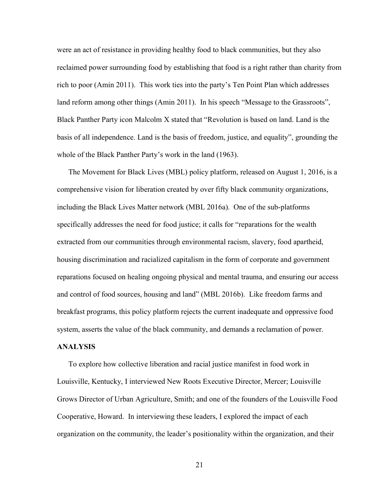were an act of resistance in providing healthy food to black communities, but they also reclaimed power surrounding food by establishing that food is a right rather than charity from rich to poor (Amin 2011). This work ties into the party's Ten Point Plan which addresses land reform among other things (Amin 2011). In his speech "Message to the Grassroots", Black Panther Party icon Malcolm X stated that "Revolution is based on land. Land is the basis of all independence. Land is the basis of freedom, justice, and equality", grounding the whole of the Black Panther Party's work in the land (1963).

The Movement for Black Lives (MBL) policy platform, released on August 1, 2016, is a comprehensive vision for liberation created by over fifty black community organizations, including the Black Lives Matter network (MBL 2016a). One of the sub-platforms specifically addresses the need for food justice; it calls for "reparations for the wealth extracted from our communities through environmental racism, slavery, food apartheid, housing discrimination and racialized capitalism in the form of corporate and government reparations focused on healing ongoing physical and mental trauma, and ensuring our access and control of food sources, housing and land" (MBL 2016b). Like freedom farms and breakfast programs, this policy platform rejects the current inadequate and oppressive food system, asserts the value of the black community, and demands a reclamation of power.

#### ANALYSIS

To explore how collective liberation and racial justice manifest in food work in Louisville, Kentucky, I interviewed New Roots Executive Director, Mercer; Louisville Grows Director of Urban Agriculture, Smith; and one of the founders of the Louisville Food Cooperative, Howard. In interviewing these leaders, I explored the impact of each organization on the community, the leader's positionality within the organization, and their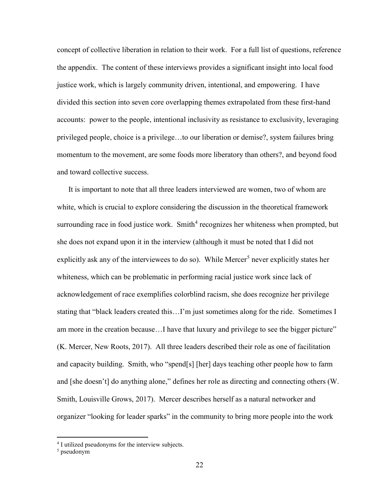concept of collective liberation in relation to their work. For a full list of questions, reference the appendix. The content of these interviews provides a significant insight into local food justice work, which is largely community driven, intentional, and empowering. I have divided this section into seven core overlapping themes extrapolated from these first-hand accounts: power to the people, intentional inclusivity as resistance to exclusivity, leveraging privileged people, choice is a privilege…to our liberation or demise?, system failures bring momentum to the movement, are some foods more liberatory than others?, and beyond food and toward collective success.

It is important to note that all three leaders interviewed are women, two of whom are white, which is crucial to explore considering the discussion in the theoretical framework surrounding race in food justice work. Smith<sup>4</sup> recognizes her whiteness when prompted, but she does not expand upon it in the interview (although it must be noted that I did not explicitly ask any of the interviewees to do so). While Mercer<sup>5</sup> never explicitly states her whiteness, which can be problematic in performing racial justice work since lack of acknowledgement of race exemplifies colorblind racism, she does recognize her privilege stating that "black leaders created this…I'm just sometimes along for the ride. Sometimes I am more in the creation because…I have that luxury and privilege to see the bigger picture" (K. Mercer, New Roots, 2017). All three leaders described their role as one of facilitation and capacity building. Smith, who "spend[s] [her] days teaching other people how to farm and [she doesn't] do anything alone," defines her role as directing and connecting others (W. Smith, Louisville Grows, 2017). Mercer describes herself as a natural networker and organizer "looking for leader sparks" in the community to bring more people into the work

 $\overline{a}$ 

<sup>&</sup>lt;sup>4</sup> I utilized pseudonyms for the interview subjects.

<sup>5</sup> pseudonym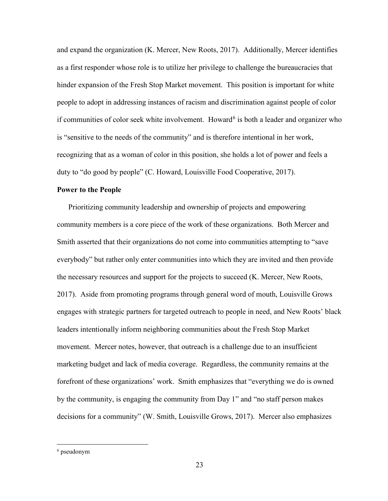and expand the organization (K. Mercer, New Roots, 2017). Additionally, Mercer identifies as a first responder whose role is to utilize her privilege to challenge the bureaucracies that hinder expansion of the Fresh Stop Market movement. This position is important for white people to adopt in addressing instances of racism and discrimination against people of color if communities of color seek white involvement. Howard<sup>6</sup> is both a leader and organizer who is "sensitive to the needs of the community" and is therefore intentional in her work, recognizing that as a woman of color in this position, she holds a lot of power and feels a duty to "do good by people" (C. Howard, Louisville Food Cooperative, 2017).

#### Power to the People

 Prioritizing community leadership and ownership of projects and empowering community members is a core piece of the work of these organizations. Both Mercer and Smith asserted that their organizations do not come into communities attempting to "save everybody" but rather only enter communities into which they are invited and then provide the necessary resources and support for the projects to succeed (K. Mercer, New Roots, 2017). Aside from promoting programs through general word of mouth, Louisville Grows engages with strategic partners for targeted outreach to people in need, and New Roots' black leaders intentionally inform neighboring communities about the Fresh Stop Market movement. Mercer notes, however, that outreach is a challenge due to an insufficient marketing budget and lack of media coverage. Regardless, the community remains at the forefront of these organizations' work. Smith emphasizes that "everything we do is owned by the community, is engaging the community from Day 1" and "no staff person makes decisions for a community" (W. Smith, Louisville Grows, 2017). Mercer also emphasizes

 $\overline{a}$ 

<sup>6</sup> pseudonym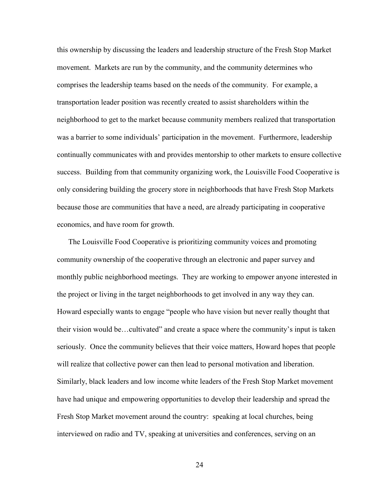this ownership by discussing the leaders and leadership structure of the Fresh Stop Market movement. Markets are run by the community, and the community determines who comprises the leadership teams based on the needs of the community. For example, a transportation leader position was recently created to assist shareholders within the neighborhood to get to the market because community members realized that transportation was a barrier to some individuals' participation in the movement. Furthermore, leadership continually communicates with and provides mentorship to other markets to ensure collective success. Building from that community organizing work, the Louisville Food Cooperative is only considering building the grocery store in neighborhoods that have Fresh Stop Markets because those are communities that have a need, are already participating in cooperative economics, and have room for growth.

 The Louisville Food Cooperative is prioritizing community voices and promoting community ownership of the cooperative through an electronic and paper survey and monthly public neighborhood meetings. They are working to empower anyone interested in the project or living in the target neighborhoods to get involved in any way they can. Howard especially wants to engage "people who have vision but never really thought that their vision would be…cultivated" and create a space where the community's input is taken seriously. Once the community believes that their voice matters, Howard hopes that people will realize that collective power can then lead to personal motivation and liberation. Similarly, black leaders and low income white leaders of the Fresh Stop Market movement have had unique and empowering opportunities to develop their leadership and spread the Fresh Stop Market movement around the country: speaking at local churches, being interviewed on radio and TV, speaking at universities and conferences, serving on an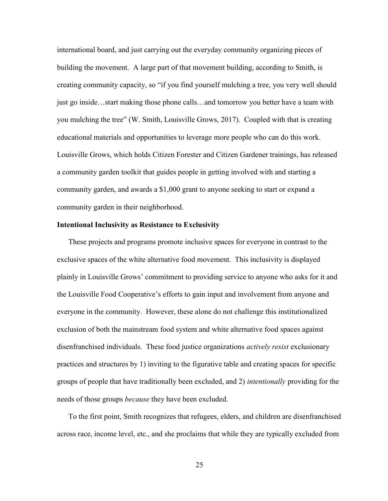international board, and just carrying out the everyday community organizing pieces of building the movement. A large part of that movement building, according to Smith, is creating community capacity, so "if you find yourself mulching a tree, you very well should just go inside…start making those phone calls…and tomorrow you better have a team with you mulching the tree" (W. Smith, Louisville Grows, 2017). Coupled with that is creating educational materials and opportunities to leverage more people who can do this work. Louisville Grows, which holds Citizen Forester and Citizen Gardener trainings, has released a community garden toolkit that guides people in getting involved with and starting a community garden, and awards a \$1,000 grant to anyone seeking to start or expand a community garden in their neighborhood.

#### Intentional Inclusivity as Resistance to Exclusivity

 These projects and programs promote inclusive spaces for everyone in contrast to the exclusive spaces of the white alternative food movement. This inclusivity is displayed plainly in Louisville Grows' commitment to providing service to anyone who asks for it and the Louisville Food Cooperative's efforts to gain input and involvement from anyone and everyone in the community. However, these alone do not challenge this institutionalized exclusion of both the mainstream food system and white alternative food spaces against disenfranchised individuals. These food justice organizations *actively resist* exclusionary practices and structures by 1) inviting to the figurative table and creating spaces for specific groups of people that have traditionally been excluded, and 2) intentionally providing for the needs of those groups *because* they have been excluded.

 To the first point, Smith recognizes that refugees, elders, and children are disenfranchised across race, income level, etc., and she proclaims that while they are typically excluded from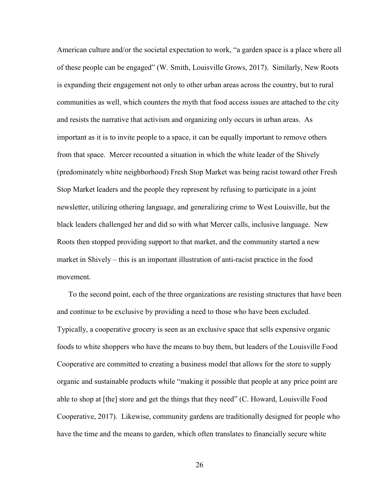American culture and/or the societal expectation to work, "a garden space is a place where all of these people can be engaged" (W. Smith, Louisville Grows, 2017). Similarly, New Roots is expanding their engagement not only to other urban areas across the country, but to rural communities as well, which counters the myth that food access issues are attached to the city and resists the narrative that activism and organizing only occurs in urban areas. As important as it is to invite people to a space, it can be equally important to remove others from that space. Mercer recounted a situation in which the white leader of the Shively (predominately white neighborhood) Fresh Stop Market was being racist toward other Fresh Stop Market leaders and the people they represent by refusing to participate in a joint newsletter, utilizing othering language, and generalizing crime to West Louisville, but the black leaders challenged her and did so with what Mercer calls, inclusive language. New Roots then stopped providing support to that market, and the community started a new market in Shively – this is an important illustration of anti-racist practice in the food movement.

 To the second point, each of the three organizations are resisting structures that have been and continue to be exclusive by providing a need to those who have been excluded. Typically, a cooperative grocery is seen as an exclusive space that sells expensive organic foods to white shoppers who have the means to buy them, but leaders of the Louisville Food Cooperative are committed to creating a business model that allows for the store to supply organic and sustainable products while "making it possible that people at any price point are able to shop at [the] store and get the things that they need" (C. Howard, Louisville Food Cooperative, 2017). Likewise, community gardens are traditionally designed for people who have the time and the means to garden, which often translates to financially secure white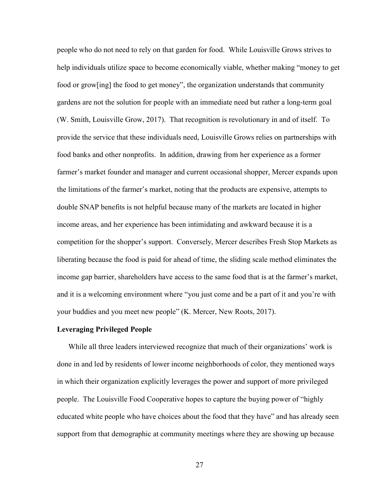people who do not need to rely on that garden for food. While Louisville Grows strives to help individuals utilize space to become economically viable, whether making "money to get food or grow[ing] the food to get money", the organization understands that community gardens are not the solution for people with an immediate need but rather a long-term goal (W. Smith, Louisville Grow, 2017). That recognition is revolutionary in and of itself. To provide the service that these individuals need, Louisville Grows relies on partnerships with food banks and other nonprofits. In addition, drawing from her experience as a former farmer's market founder and manager and current occasional shopper, Mercer expands upon the limitations of the farmer's market, noting that the products are expensive, attempts to double SNAP benefits is not helpful because many of the markets are located in higher income areas, and her experience has been intimidating and awkward because it is a competition for the shopper's support. Conversely, Mercer describes Fresh Stop Markets as liberating because the food is paid for ahead of time, the sliding scale method eliminates the income gap barrier, shareholders have access to the same food that is at the farmer's market, and it is a welcoming environment where "you just come and be a part of it and you're with your buddies and you meet new people" (K. Mercer, New Roots, 2017).

#### Leveraging Privileged People

 While all three leaders interviewed recognize that much of their organizations' work is done in and led by residents of lower income neighborhoods of color, they mentioned ways in which their organization explicitly leverages the power and support of more privileged people. The Louisville Food Cooperative hopes to capture the buying power of "highly educated white people who have choices about the food that they have" and has already seen support from that demographic at community meetings where they are showing up because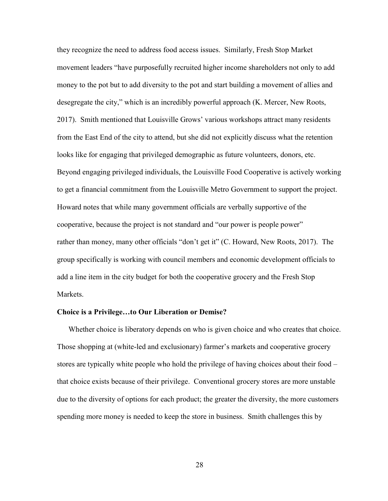they recognize the need to address food access issues. Similarly, Fresh Stop Market movement leaders "have purposefully recruited higher income shareholders not only to add money to the pot but to add diversity to the pot and start building a movement of allies and desegregate the city," which is an incredibly powerful approach (K. Mercer, New Roots, 2017). Smith mentioned that Louisville Grows' various workshops attract many residents from the East End of the city to attend, but she did not explicitly discuss what the retention looks like for engaging that privileged demographic as future volunteers, donors, etc. Beyond engaging privileged individuals, the Louisville Food Cooperative is actively working to get a financial commitment from the Louisville Metro Government to support the project. Howard notes that while many government officials are verbally supportive of the cooperative, because the project is not standard and "our power is people power" rather than money, many other officials "don't get it" (C. Howard, New Roots, 2017). The group specifically is working with council members and economic development officials to add a line item in the city budget for both the cooperative grocery and the Fresh Stop Markets.

#### Choice is a Privilege…to Our Liberation or Demise?

Whether choice is liberatory depends on who is given choice and who creates that choice. Those shopping at (white-led and exclusionary) farmer's markets and cooperative grocery stores are typically white people who hold the privilege of having choices about their food – that choice exists because of their privilege. Conventional grocery stores are more unstable due to the diversity of options for each product; the greater the diversity, the more customers spending more money is needed to keep the store in business. Smith challenges this by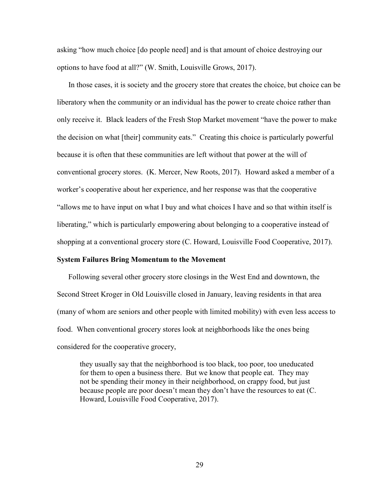asking "how much choice [do people need] and is that amount of choice destroying our options to have food at all?" (W. Smith, Louisville Grows, 2017).

In those cases, it is society and the grocery store that creates the choice, but choice can be liberatory when the community or an individual has the power to create choice rather than only receive it. Black leaders of the Fresh Stop Market movement "have the power to make the decision on what [their] community eats." Creating this choice is particularly powerful because it is often that these communities are left without that power at the will of conventional grocery stores. (K. Mercer, New Roots, 2017). Howard asked a member of a worker's cooperative about her experience, and her response was that the cooperative "allows me to have input on what I buy and what choices I have and so that within itself is liberating," which is particularly empowering about belonging to a cooperative instead of shopping at a conventional grocery store (C. Howard, Louisville Food Cooperative, 2017).

#### System Failures Bring Momentum to the Movement

 Following several other grocery store closings in the West End and downtown, the Second Street Kroger in Old Louisville closed in January, leaving residents in that area (many of whom are seniors and other people with limited mobility) with even less access to food. When conventional grocery stores look at neighborhoods like the ones being considered for the cooperative grocery,

they usually say that the neighborhood is too black, too poor, too uneducated for them to open a business there. But we know that people eat. They may not be spending their money in their neighborhood, on crappy food, but just because people are poor doesn't mean they don't have the resources to eat (C. Howard, Louisville Food Cooperative, 2017).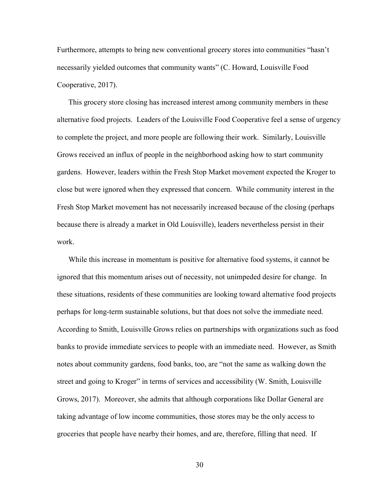Furthermore, attempts to bring new conventional grocery stores into communities "hasn't necessarily yielded outcomes that community wants" (C. Howard, Louisville Food Cooperative, 2017).

This grocery store closing has increased interest among community members in these alternative food projects. Leaders of the Louisville Food Cooperative feel a sense of urgency to complete the project, and more people are following their work. Similarly, Louisville Grows received an influx of people in the neighborhood asking how to start community gardens. However, leaders within the Fresh Stop Market movement expected the Kroger to close but were ignored when they expressed that concern. While community interest in the Fresh Stop Market movement has not necessarily increased because of the closing (perhaps because there is already a market in Old Louisville), leaders nevertheless persist in their work.

While this increase in momentum is positive for alternative food systems, it cannot be ignored that this momentum arises out of necessity, not unimpeded desire for change. In these situations, residents of these communities are looking toward alternative food projects perhaps for long-term sustainable solutions, but that does not solve the immediate need. According to Smith, Louisville Grows relies on partnerships with organizations such as food banks to provide immediate services to people with an immediate need. However, as Smith notes about community gardens, food banks, too, are "not the same as walking down the street and going to Kroger" in terms of services and accessibility (W. Smith, Louisville Grows, 2017). Moreover, she admits that although corporations like Dollar General are taking advantage of low income communities, those stores may be the only access to groceries that people have nearby their homes, and are, therefore, filling that need. If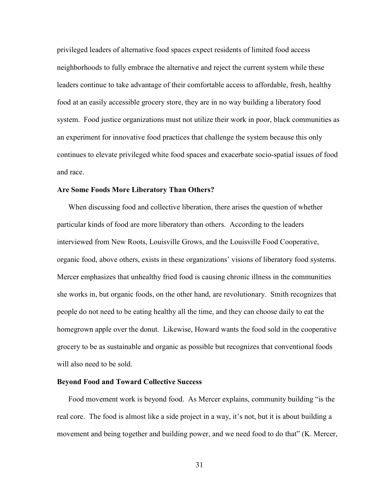privileged leaders of alternative food spaces expect residents of limited food access neighborhoods to fully embrace the alternative and reject the current system while these leaders continue to take advantage of their comfortable access to affordable, fresh, healthy food at an easily accessible grocery store, they are in no way building a liberatory food system. Food justice organizations must not utilize their work in poor, black communities as an experiment for innovative food practices that challenge the system because this only continues to elevate privileged white food spaces and exacerbate socio-spatial issues of food and race.

#### Are Some Foods More Liberatory Than Others?

 When discussing food and collective liberation, there arises the question of whether particular kinds of food are more liberatory than others. According to the leaders interviewed from New Roots, Louisville Grows, and the Louisville Food Cooperative, organic food, above others, exists in these organizations' visions of liberatory food systems. Mercer emphasizes that unhealthy fried food is causing chronic illness in the communities she works in, but organic foods, on the other hand, are revolutionary. Smith recognizes that people do not need to be eating healthy all the time, and they can choose daily to eat the homegrown apple over the donut. Likewise, Howard wants the food sold in the cooperative grocery to be as sustainable and organic as possible but recognizes that conventional foods will also need to be sold.

#### Beyond Food and Toward Collective Success

 Food movement work is beyond food. As Mercer explains, community building "is the real core. The food is almost like a side project in a way, it's not, but it is about building a movement and being together and building power, and we need food to do that" (K. Mercer,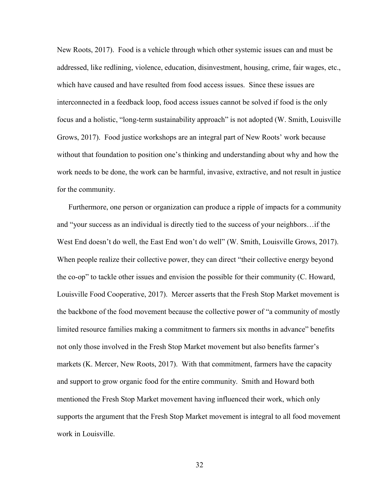New Roots, 2017). Food is a vehicle through which other systemic issues can and must be addressed, like redlining, violence, education, disinvestment, housing, crime, fair wages, etc., which have caused and have resulted from food access issues. Since these issues are interconnected in a feedback loop, food access issues cannot be solved if food is the only focus and a holistic, "long-term sustainability approach" is not adopted (W. Smith, Louisville Grows, 2017). Food justice workshops are an integral part of New Roots' work because without that foundation to position one's thinking and understanding about why and how the work needs to be done, the work can be harmful, invasive, extractive, and not result in justice for the community.

Furthermore, one person or organization can produce a ripple of impacts for a community and "your success as an individual is directly tied to the success of your neighbors…if the West End doesn't do well, the East End won't do well" (W. Smith, Louisville Grows, 2017). When people realize their collective power, they can direct "their collective energy beyond the co-op" to tackle other issues and envision the possible for their community (C. Howard, Louisville Food Cooperative, 2017). Mercer asserts that the Fresh Stop Market movement is the backbone of the food movement because the collective power of "a community of mostly limited resource families making a commitment to farmers six months in advance" benefits not only those involved in the Fresh Stop Market movement but also benefits farmer's markets (K. Mercer, New Roots, 2017). With that commitment, farmers have the capacity and support to grow organic food for the entire community. Smith and Howard both mentioned the Fresh Stop Market movement having influenced their work, which only supports the argument that the Fresh Stop Market movement is integral to all food movement work in Louisville.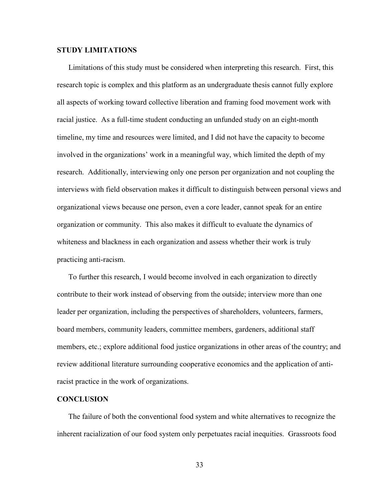#### STUDY LIMITATIONS

Limitations of this study must be considered when interpreting this research. First, this research topic is complex and this platform as an undergraduate thesis cannot fully explore all aspects of working toward collective liberation and framing food movement work with racial justice. As a full-time student conducting an unfunded study on an eight-month timeline, my time and resources were limited, and I did not have the capacity to become involved in the organizations' work in a meaningful way, which limited the depth of my research. Additionally, interviewing only one person per organization and not coupling the interviews with field observation makes it difficult to distinguish between personal views and organizational views because one person, even a core leader, cannot speak for an entire organization or community. This also makes it difficult to evaluate the dynamics of whiteness and blackness in each organization and assess whether their work is truly practicing anti-racism.

To further this research, I would become involved in each organization to directly contribute to their work instead of observing from the outside; interview more than one leader per organization, including the perspectives of shareholders, volunteers, farmers, board members, community leaders, committee members, gardeners, additional staff members, etc.; explore additional food justice organizations in other areas of the country; and review additional literature surrounding cooperative economics and the application of antiracist practice in the work of organizations.

#### **CONCLUSION**

 The failure of both the conventional food system and white alternatives to recognize the inherent racialization of our food system only perpetuates racial inequities. Grassroots food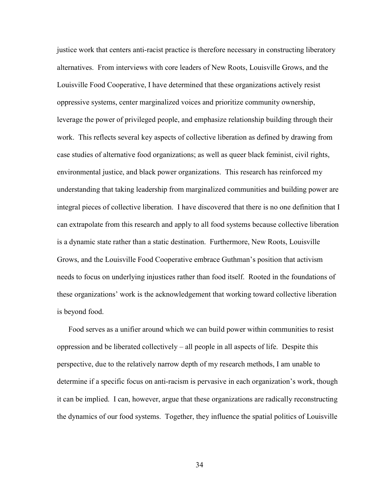justice work that centers anti-racist practice is therefore necessary in constructing liberatory alternatives. From interviews with core leaders of New Roots, Louisville Grows, and the Louisville Food Cooperative, I have determined that these organizations actively resist oppressive systems, center marginalized voices and prioritize community ownership, leverage the power of privileged people, and emphasize relationship building through their work. This reflects several key aspects of collective liberation as defined by drawing from case studies of alternative food organizations; as well as queer black feminist, civil rights, environmental justice, and black power organizations. This research has reinforced my understanding that taking leadership from marginalized communities and building power are integral pieces of collective liberation. I have discovered that there is no one definition that I can extrapolate from this research and apply to all food systems because collective liberation is a dynamic state rather than a static destination. Furthermore, New Roots, Louisville Grows, and the Louisville Food Cooperative embrace Guthman's position that activism needs to focus on underlying injustices rather than food itself. Rooted in the foundations of these organizations' work is the acknowledgement that working toward collective liberation is beyond food.

Food serves as a unifier around which we can build power within communities to resist oppression and be liberated collectively – all people in all aspects of life. Despite this perspective, due to the relatively narrow depth of my research methods, I am unable to determine if a specific focus on anti-racism is pervasive in each organization's work, though it can be implied. I can, however, argue that these organizations are radically reconstructing the dynamics of our food systems. Together, they influence the spatial politics of Louisville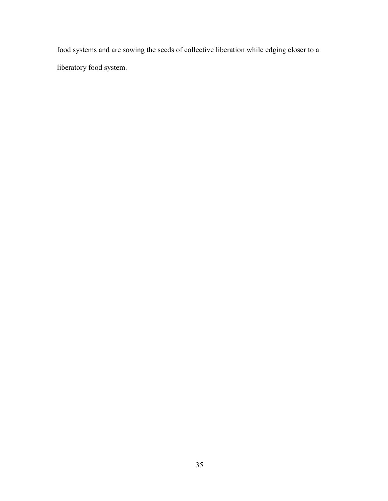food systems and are sowing the seeds of collective liberation while edging closer to a liberatory food system.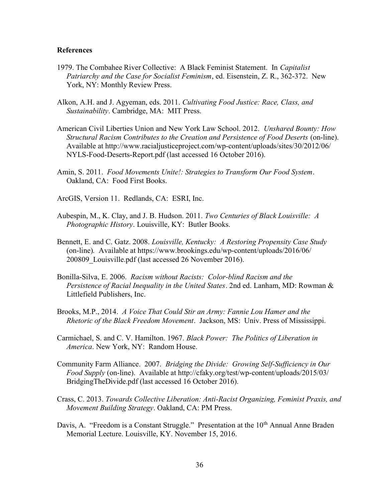#### References

- 1979. The Combahee River Collective: A Black Feminist Statement. In *Capitalist*  Patriarchy and the Case for Socialist Feminism, ed. Eisenstein, Z. R., 362-372. New York, NY: Monthly Review Press.
- Alkon, A.H. and J. Agyeman, eds. 2011. Cultivating Food Justice: Race, Class, and Sustainability. Cambridge, MA: MIT Press.
- American Civil Liberties Union and New York Law School. 2012. Unshared Bounty: How Structural Racism Contributes to the Creation and Persistence of Food Deserts (on-line). Available at http://www.racialjusticeproject.com/wp-content/uploads/sites/30/2012/06/ NYLS-Food-Deserts-Report.pdf (last accessed 16 October 2016).
- Amin, S. 2011. Food Movements Unite!: Strategies to Transform Our Food System. Oakland, CA: Food First Books.
- ArcGIS, Version 11. Redlands, CA: ESRI, Inc.
- Aubespin, M., K. Clay, and J. B. Hudson. 2011. Two Centuries of Black Louisville: A Photographic History. Louisville, KY: Butler Books.
- Bennett, E. and C. Gatz. 2008. Louisville, Kentucky: A Restoring Propensity Case Study (on-line). Available at https://www.brookings.edu/wp-content/uploads/2016/06/ 200809\_Louisville.pdf (last accessed 26 November 2016).
- Bonilla-Silva, E. 2006. Racism without Racists: Color-blind Racism and the Persistence of Racial Inequality in the United States. 2nd ed. Lanham, MD: Rowman & Littlefield Publishers, Inc.
- Brooks, M.P., 2014. A Voice That Could Stir an Army: Fannie Lou Hamer and the Rhetoric of the Black Freedom Movement. Jackson, MS: Univ. Press of Mississippi.
- Carmichael, S. and C. V. Hamilton. 1967. Black Power: The Politics of Liberation in America. New York, NY: Random House.
- Community Farm Alliance. 2007. Bridging the Divide: Growing Self-Sufficiency in Our Food Supply (on-line). Available at http://cfaky.org/test/wp-content/uploads/2015/03/ BridgingTheDivide.pdf (last accessed 16 October 2016).
- Crass, C. 2013. Towards Collective Liberation: Anti-Racist Organizing, Feminist Praxis, and Movement Building Strategy. Oakland, CA: PM Press.
- Davis, A. "Freedom is a Constant Struggle." Presentation at the  $10<sup>th</sup>$  Annual Anne Braden Memorial Lecture. Louisville, KY. November 15, 2016.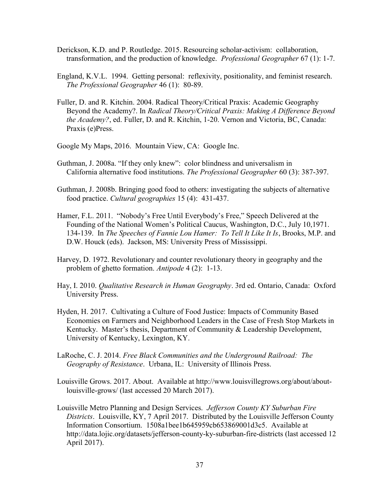- Derickson, K.D. and P. Routledge. 2015. Resourcing scholar-activism: collaboration, transformation, and the production of knowledge. Professional Geographer 67 (1): 1-7.
- England, K.V.L. 1994. Getting personal: reflexivity, positionality, and feminist research. The Professional Geographer 46 (1): 80-89.
- Fuller, D. and R. Kitchin. 2004. Radical Theory/Critical Praxis: Academic Geography Beyond the Academy?. In Radical Theory/Critical Praxis: Making A Difference Beyond the Academy?, ed. Fuller, D. and R. Kitchin, 1-20. Vernon and Victoria, BC, Canada: Praxis (e)Press.
- Google My Maps, 2016. Mountain View, CA: Google Inc.
- Guthman, J. 2008a. "If they only knew": color blindness and universalism in California alternative food institutions. The Professional Geographer 60 (3): 387-397.
- Guthman, J. 2008b. Bringing good food to others: investigating the subjects of alternative food practice. Cultural geographies 15 (4): 431-437.
- Hamer, F.L. 2011. "Nobody's Free Until Everybody's Free," Speech Delivered at the Founding of the National Women's Political Caucus, Washington, D.C., July 10,1971. 134-139. In The Speeches of Fannie Lou Hamer: To Tell It Like It Is, Brooks, M.P. and D.W. Houck (eds). Jackson, MS: University Press of Mississippi.
- Harvey, D. 1972. Revolutionary and counter revolutionary theory in geography and the problem of ghetto formation. Antipode 4 (2): 1-13.
- Hay, I. 2010. Qualitative Research in Human Geography. 3rd ed. Ontario, Canada: Oxford University Press.
- Hyden, H. 2017. Cultivating a Culture of Food Justice: Impacts of Community Based Economies on Farmers and Neighborhood Leaders in the Case of Fresh Stop Markets in Kentucky. Master's thesis, Department of Community & Leadership Development, University of Kentucky, Lexington, KY.
- LaRoche, C. J. 2014. Free Black Communities and the Underground Railroad: The Geography of Resistance. Urbana, IL: University of Illinois Press.
- Louisville Grows. 2017. About. Available at http://www.louisvillegrows.org/about/about louisville-grows/ (last accessed 20 March 2017).
- Louisville Metro Planning and Design Services. Jefferson County KY Suburban Fire Districts. Louisville, KY, 7 April 2017. Distributed by the Louisville Jefferson County Information Consortium. 1508a1bee1b645959cb653869001d3c5. Available at http://data.lojic.org/datasets/jefferson-county-ky-suburban-fire-districts (last accessed 12 April 2017).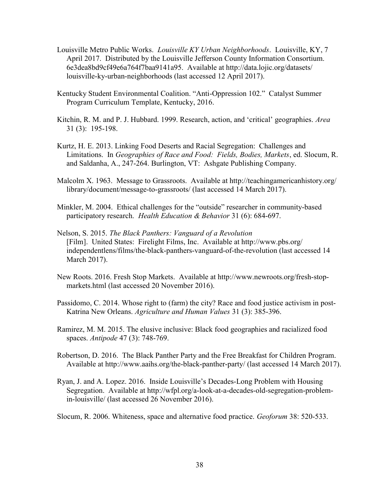- Louisville Metro Public Works. Louisville KY Urban Neighborhoods. Louisville, KY, 7 April 2017. Distributed by the Louisville Jefferson County Information Consortium. 6e3dea8bd9cf49e6a764f7baa9141a95. Available at http://data.lojic.org/datasets/ louisville-ky-urban-neighborhoods (last accessed 12 April 2017).
- Kentucky Student Environmental Coalition. "Anti-Oppression 102." Catalyst Summer Program Curriculum Template, Kentucky, 2016.
- Kitchin, R. M. and P. J. Hubbard. 1999. Research, action, and 'critical' geographies. Area 31 (3): 195-198.
- Kurtz, H. E. 2013. Linking Food Deserts and Racial Segregation: Challenges and Limitations. In Geographies of Race and Food: Fields, Bodies, Markets, ed. Slocum, R. and Saldanha, A., 247-264. Burlington, VT: Ashgate Publishing Company.
- Malcolm X. 1963. Message to Grassroots. Available at http://teachingamericanhistory.org/ library/document/message-to-grassroots/ (last accessed 14 March 2017).
- Minkler, M. 2004. Ethical challenges for the "outside" researcher in community-based participatory research. Health Education & Behavior 31 (6): 684-697.
- Nelson, S. 2015. The Black Panthers: Vanguard of a Revolution [Film]. United States: Firelight Films, Inc. Available at http://www.pbs.org/ independentlens/films/the-black-panthers-vanguard-of-the-revolution (last accessed 14 March 2017).
- New Roots. 2016. Fresh Stop Markets. Available at http://www.newroots.org/fresh-stop markets.html (last accessed 20 November 2016).
- Passidomo, C. 2014. Whose right to (farm) the city? Race and food justice activism in post- Katrina New Orleans. Agriculture and Human Values 31 (3): 385-396.
- Ramirez, M. M. 2015. The elusive inclusive: Black food geographies and racialized food spaces. Antipode 47 (3): 748-769.
- Robertson, D. 2016. The Black Panther Party and the Free Breakfast for Children Program. Available at http://www.aaihs.org/the-black-panther-party/ (last accessed 14 March 2017).
- Ryan, J. and A. Lopez. 2016. Inside Louisville's Decades-Long Problem with Housing Segregation. Available at http://wfpl.org/a-look-at-a-decades-old-segregation-problem in-louisville/ (last accessed 26 November 2016).
- Slocum, R. 2006. Whiteness, space and alternative food practice. *Geoforum* 38: 520-533.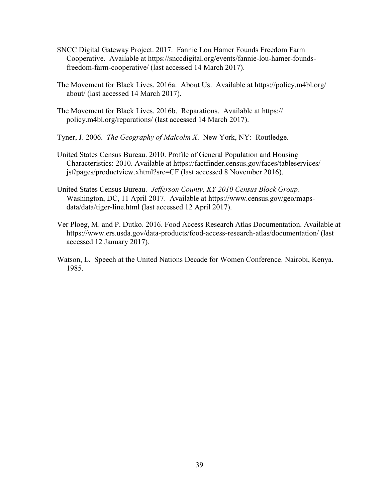- SNCC Digital Gateway Project. 2017. Fannie Lou Hamer Founds Freedom Farm Cooperative. Available at https://snccdigital.org/events/fannie-lou-hamer-founds freedom-farm-cooperative/ (last accessed 14 March 2017).
- The Movement for Black Lives. 2016a. About Us. Available at https://policy.m4bl.org/ about/ (last accessed 14 March 2017).
- The Movement for Black Lives. 2016b. Reparations. Available at https:// policy.m4bl.org/reparations/ (last accessed 14 March 2017).
- Tyner, J. 2006. The Geography of Malcolm X. New York, NY: Routledge.
- United States Census Bureau. 2010. Profile of General Population and Housing Characteristics: 2010. Available at https://factfinder.census.gov/faces/tableservices/ jsf/pages/productview.xhtml?src=CF (last accessed 8 November 2016).
- United States Census Bureau. Jefferson County, KY 2010 Census Block Group. Washington, DC, 11 April 2017. Available at https://www.census.gov/geo/maps data/data/tiger-line.html (last accessed 12 April 2017).
- Ver Ploeg, M. and P. Dutko. 2016. Food Access Research Atlas Documentation. Available at https://www.ers.usda.gov/data-products/food-access-research-atlas/documentation/ (last accessed 12 January 2017).
- Watson, L. Speech at the United Nations Decade for Women Conference. Nairobi, Kenya. 1985.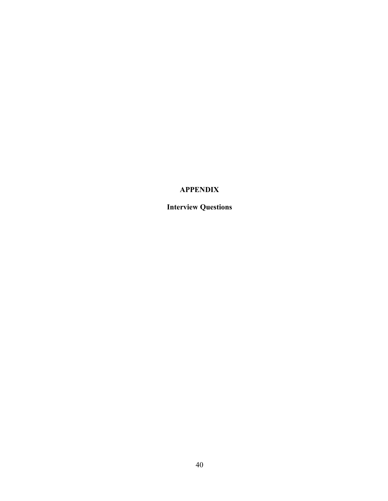## APPENDIX

Interview Questions